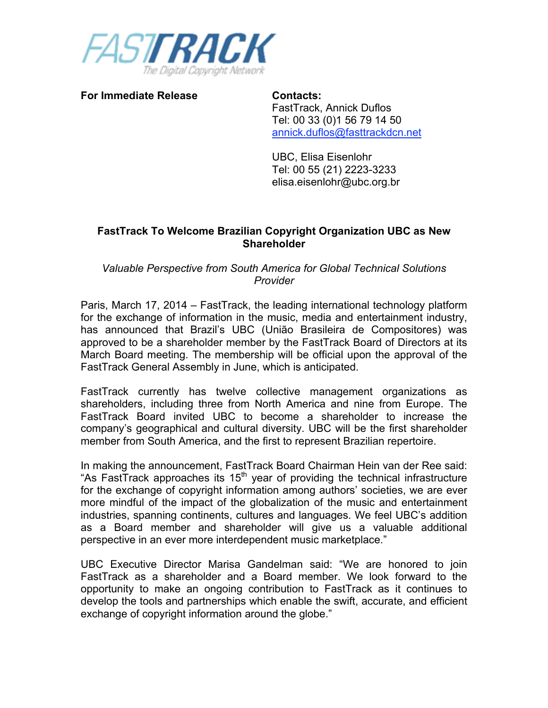

**For Immediate Release Contacts:**

FastTrack, Annick Duflos Tel: 00 33 (0)1 56 79 14 50 annick.duflos@fasttrackdcn.net

UBC, Elisa Eisenlohr Tel: 00 55 (21) 2223-3233 elisa.eisenlohr@ubc.org.br

## **FastTrack To Welcome Brazilian Copyright Organization UBC as New Shareholder**

*Valuable Perspective from South America for Global Technical Solutions Provider* 

Paris, March 17, 2014 – FastTrack, the leading international technology platform for the exchange of information in the music, media and entertainment industry, has announced that Brazil's UBC (União Brasileira de Compositores) was approved to be a shareholder member by the FastTrack Board of Directors at its March Board meeting. The membership will be official upon the approval of the FastTrack General Assembly in June, which is anticipated.

FastTrack currently has twelve collective management organizations as shareholders, including three from North America and nine from Europe. The FastTrack Board invited UBC to become a shareholder to increase the company's geographical and cultural diversity. UBC will be the first shareholder member from South America, and the first to represent Brazilian repertoire.

In making the announcement, FastTrack Board Chairman Hein van der Ree said: "As Fast Track approaches its  $15<sup>th</sup>$  year of providing the technical infrastructure for the exchange of copyright information among authors' societies, we are ever more mindful of the impact of the globalization of the music and entertainment industries, spanning continents, cultures and languages. We feel UBC's addition as a Board member and shareholder will give us a valuable additional perspective in an ever more interdependent music marketplace."

UBC Executive Director Marisa Gandelman said: "We are honored to join FastTrack as a shareholder and a Board member. We look forward to the opportunity to make an ongoing contribution to FastTrack as it continues to develop the tools and partnerships which enable the swift, accurate, and efficient exchange of copyright information around the globe."